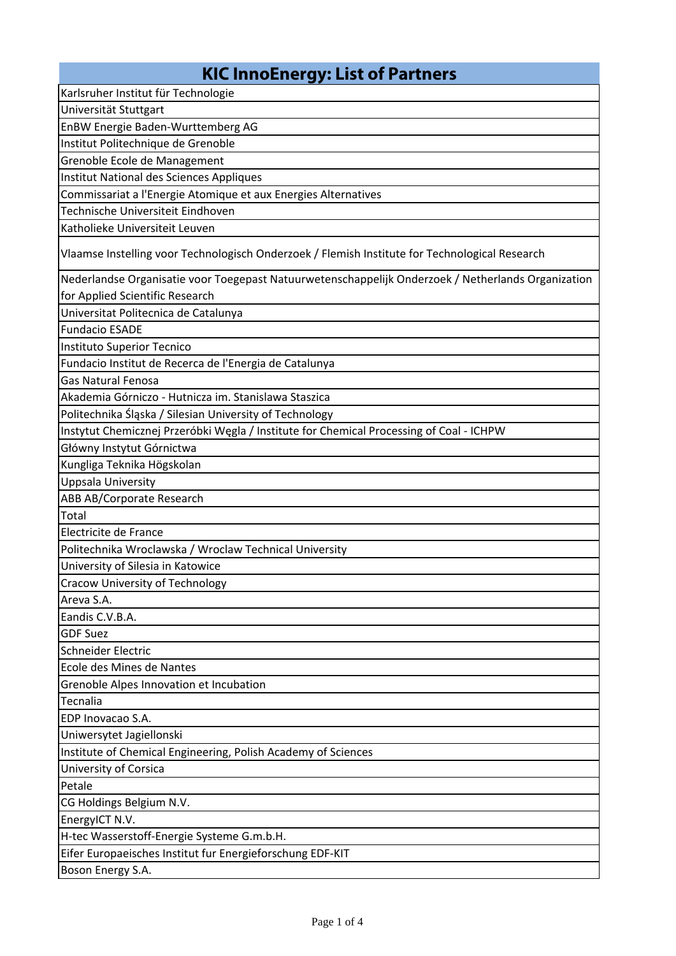## **KIC InnoEnergy: List of Partners**

Karlsruher Institut für Technologie

Universität Stuttgart

EnBW Energie Baden‐Wurttemberg AG

Institut Politechnique de Grenoble

Grenoble Ecole de Management

Institut National des Sciences Appliques

Commissariat a l'Energie Atomique et aux Energies Alternatives

Technische Universiteit Eindhoven

Katholieke Universiteit Leuven

Vlaamse Instelling voor Technologisch Onderzoek / Flemish Institute for Technological Research

Nederlandse Organisatie voor Toegepast Natuurwetenschappelijk Onderzoek / Netherlands Organization for Applied Scientific Research

Universitat Politecnica de Catalunya

Fundacio ESADE

Instituto Superior Tecnico

Fundacio Institut de Recerca de l'Energia de Catalunya

Gas Natural Fenosa

Akademia Górniczo ‐ Hutnicza im. Stanislawa Staszica

Politechnika Śląska / Silesian University of Technology

Instytut Chemicznej Przeróbki Węgla / Institute for Chemical Processing of Coal ‐ ICHPW

Główny Instytut Górnictwa

Kungliga Teknika Högskolan

Uppsala University

ABB AB/Corporate Research

Total

Electricite de France

Politechnika Wroclawska / Wroclaw Technical University

University of Silesia in Katowice

Cracow University of Technology

Areva S.A.

Eandis C.V.B.A.

GDF Suez

Schneider Electric

Ecole des Mines de Nantes

Grenoble Alpes Innovation et Incubation

Tecnalia

EDP Inovacao S.A.

Uniwersytet Jagiellonski

Institute of Chemical Engineering, Polish Academy of Sciences

University of Corsica

Petale

CG Holdings Belgium N.V.

EnergyICT N.V.

H‐tec Wasserstoff‐Energie Systeme G.m.b.H.

Eifer Europaeisches Institut fur Energieforschung EDF‐KIT

Boson Energy S.A.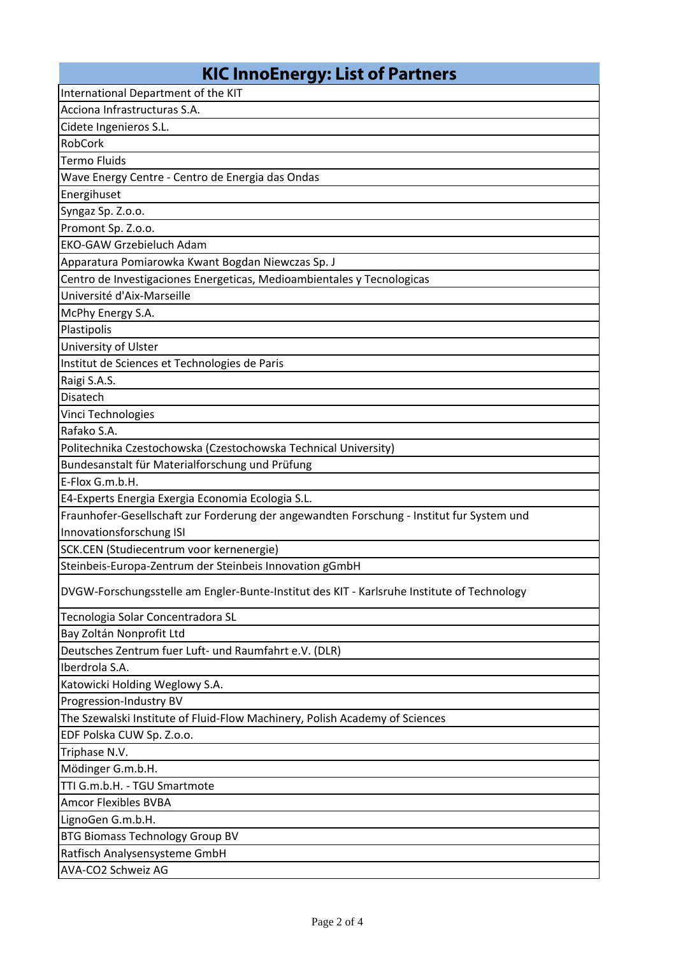## **KIC InnoEnergy: List of Partners**

| International Department of the KIT                                                        |
|--------------------------------------------------------------------------------------------|
| Acciona Infrastructuras S.A.                                                               |
| Cidete Ingenieros S.L.                                                                     |
| RobCork                                                                                    |
| <b>Termo Fluids</b>                                                                        |
| Wave Energy Centre - Centro de Energia das Ondas                                           |
| Energihuset                                                                                |
| Syngaz Sp. Z.o.o.                                                                          |
| Promont Sp. Z.o.o.                                                                         |
| <b>EKO-GAW Grzebieluch Adam</b>                                                            |
| Apparatura Pomiarowka Kwant Bogdan Niewczas Sp. J                                          |
| Centro de Investigaciones Energeticas, Medioambientales y Tecnologicas                     |
| Université d'Aix-Marseille                                                                 |
| McPhy Energy S.A.                                                                          |
| Plastipolis                                                                                |
| University of Ulster                                                                       |
| Institut de Sciences et Technologies de Paris                                              |
| Raigi S.A.S.                                                                               |
| Disatech                                                                                   |
| Vinci Technologies                                                                         |
| Rafako S.A.                                                                                |
| Politechnika Czestochowska (Czestochowska Technical University)                            |
| Bundesanstalt für Materialforschung und Prüfung                                            |
| E-Flox G.m.b.H.                                                                            |
| E4-Experts Energia Exergia Economia Ecologia S.L.                                          |
| Fraunhofer-Gesellschaft zur Forderung der angewandten Forschung - Institut fur System und  |
| Innovationsforschung ISI                                                                   |
| SCK.CEN (Studiecentrum voor kernenergie)                                                   |
| Steinbeis-Europa-Zentrum der Steinbeis Innovation gGmbH                                    |
| DVGW-Forschungsstelle am Engler-Bunte-Institut des KIT - Karlsruhe Institute of Technology |
| Tecnologia Solar Concentradora SL                                                          |
| Bay Zoltán Nonprofit Ltd                                                                   |
| Deutsches Zentrum fuer Luft- und Raumfahrt e.V. (DLR)                                      |
| Iberdrola S.A.                                                                             |
| Katowicki Holding Weglowy S.A.                                                             |
| Progression-Industry BV                                                                    |
| The Szewalski Institute of Fluid-Flow Machinery, Polish Academy of Sciences                |
| EDF Polska CUW Sp. Z.o.o.                                                                  |
| Triphase N.V.                                                                              |
| Mödinger G.m.b.H.                                                                          |
| TTI G.m.b.H. - TGU Smartmote                                                               |
| <b>Amcor Flexibles BVBA</b>                                                                |
| LignoGen G.m.b.H.                                                                          |
| <b>BTG Biomass Technology Group BV</b>                                                     |
| Ratfisch Analysensysteme GmbH                                                              |
| AVA-CO2 Schweiz AG                                                                         |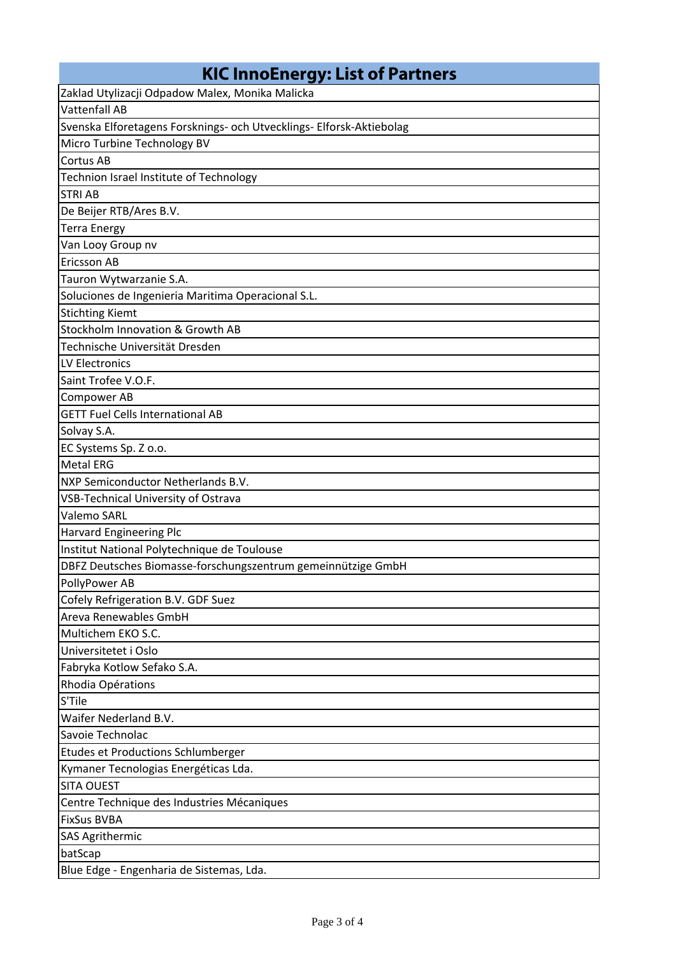| <b>KIC InnoEnergy: List of Partners</b>                              |
|----------------------------------------------------------------------|
| Zaklad Utylizacji Odpadow Malex, Monika Malicka                      |
| <b>Vattenfall AB</b>                                                 |
| Svenska Elforetagens Forsknings- och Utvecklings- Elforsk-Aktiebolag |
| Micro Turbine Technology BV                                          |
| Cortus AB                                                            |
| Technion Israel Institute of Technology                              |
| <b>STRI AB</b>                                                       |
| De Beijer RTB/Ares B.V.                                              |
| <b>Terra Energy</b>                                                  |
| Van Looy Group nv                                                    |
| <b>Ericsson AB</b>                                                   |
| Tauron Wytwarzanie S.A.                                              |
| Soluciones de Ingenieria Maritima Operacional S.L.                   |
| <b>Stichting Kiemt</b>                                               |
| Stockholm Innovation & Growth AB                                     |
| Technische Universität Dresden                                       |
| LV Electronics                                                       |
| Saint Trofee V.O.F.                                                  |
| <b>Compower AB</b>                                                   |
| <b>GETT Fuel Cells International AB</b>                              |
| Solvay S.A.                                                          |
| EC Systems Sp. Z o.o.                                                |
| <b>Metal ERG</b>                                                     |
| NXP Semiconductor Netherlands B.V.                                   |
| <b>VSB-Technical University of Ostrava</b>                           |
| <b>Valemo SARL</b>                                                   |
| Harvard Engineering Plc                                              |
| Institut National Polytechnique de Toulouse                          |
| DBFZ Deutsches Biomasse-forschungszentrum gemeinnützige GmbH         |
| PollyPower AB                                                        |
| Cofely Refrigeration B.V. GDF Suez                                   |
| Areva Renewables GmbH                                                |
| Multichem EKO S.C.                                                   |
| Universitetet i Oslo                                                 |
| Fabryka Kotlow Sefako S.A.                                           |
| Rhodia Opérations                                                    |
| S'Tile                                                               |
| Waifer Nederland B.V.                                                |
| Savoie Technolac                                                     |
| Etudes et Productions Schlumberger                                   |
| Kymaner Tecnologias Energéticas Lda.                                 |
| <b>SITA OUEST</b>                                                    |
| Centre Technique des Industries Mécaniques                           |
| <b>FixSus BVBA</b>                                                   |
| <b>SAS Agrithermic</b>                                               |
| batScap                                                              |
| Blue Edge - Engenharia de Sistemas, Lda.                             |